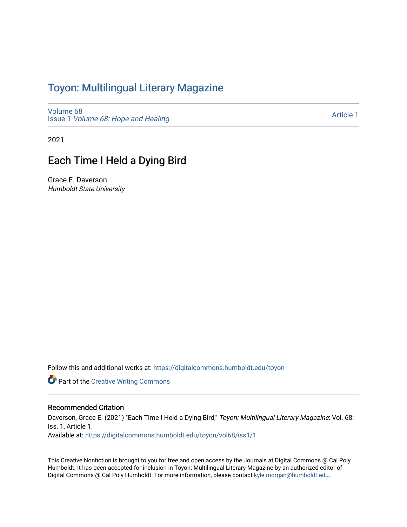# Toyon: Multilingual Literar[y](https://digitalcommons.humboldt.edu/toyon) Magazine

[Volume 68](https://digitalcommons.humboldt.edu/toyon/vol68) Issue 1 [Volume 68: Hope and Healing](https://digitalcommons.humboldt.edu/toyon/vol68/iss1) 

[Article 1](https://digitalcommons.humboldt.edu/toyon/vol68/iss1/1) 

2021

# Each Time I Held a Dying Bird

Grace E. Daverson Humboldt State University

Follow this and additional works at: [https://digitalcommons.humboldt.edu/toyon](https://digitalcommons.humboldt.edu/toyon?utm_source=digitalcommons.humboldt.edu%2Ftoyon%2Fvol68%2Fiss1%2F1&utm_medium=PDF&utm_campaign=PDFCoverPages)

**Part of the Creative Writing Commons** 

#### Recommended Citation

Daverson, Grace E. (2021) "Each Time I Held a Dying Bird," Toyon: Multilingual Literary Magazine: Vol. 68: Iss. 1, Article 1.

Available at: [https://digitalcommons.humboldt.edu/toyon/vol68/iss1/1](https://digitalcommons.humboldt.edu/toyon/vol68/iss1/1?utm_source=digitalcommons.humboldt.edu%2Ftoyon%2Fvol68%2Fiss1%2F1&utm_medium=PDF&utm_campaign=PDFCoverPages)

This Creative Nonfiction is brought to you for free and open access by the Journals at Digital Commons @ Cal Poly Humboldt. It has been accepted for inclusion in Toyon: Multilingual Literary Magazine by an authorized editor of Digital Commons @ Cal Poly Humboldt. For more information, please contact [kyle.morgan@humboldt.edu.](mailto:kyle.morgan@humboldt.edu)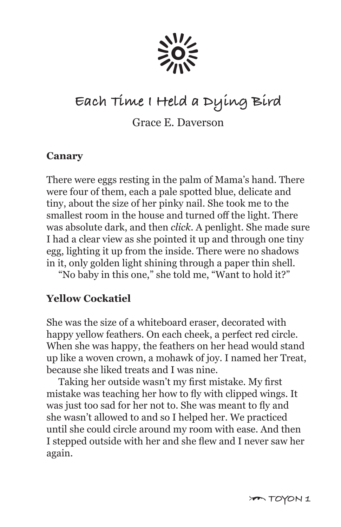

# **Each Time I Held a Dying Bird**

Grace E. Daverson

#### **Canary**

There were eggs resting in the palm of Mama's hand. There were four of them, each a pale spotted blue, delicate and tiny, about the size of her pinky nail. She took me to the smallest room in the house and turned off the light. There was absolute dark, and then *click*. A penlight. She made sure I had a clear view as she pointed it up and through one tiny egg, lighting it up from the inside. There were no shadows in it, only golden light shining through a paper thin shell.

"No baby in this one," she told me, "Want to hold it?"

#### **Yellow Cockatiel**

She was the size of a whiteboard eraser, decorated with happy yellow feathers. On each cheek, a perfect red circle. When she was happy, the feathers on her head would stand up like a woven crown, a mohawk of joy. I named her Treat, because she liked treats and I was nine.

 Taking her outside wasn't my first mistake. My first mistake was teaching her how to fly with clipped wings. It was just too sad for her not to. She was meant to fly and she wasn't allowed to and so I helped her. We practiced until she could circle around my room with ease. And then I stepped outside with her and she flew and I never saw her again.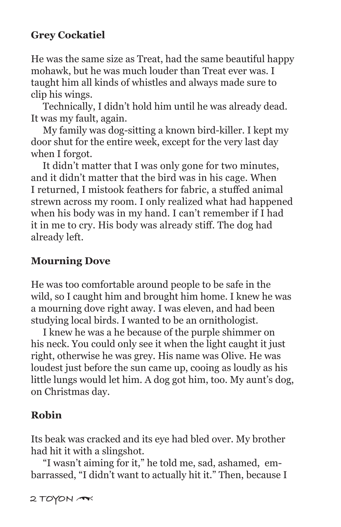## **Grey Cockatiel**

He was the same size as Treat, had the same beautiful happy mohawk, but he was much louder than Treat ever was. I taught him all kinds of whistles and always made sure to clip his wings.

 Technically, I didn't hold him until he was already dead. It was my fault, again.

 My family was dog-sitting a known bird-killer. I kept my door shut for the entire week, except for the very last day when I forgot.

 It didn't matter that I was only gone for two minutes, and it didn't matter that the bird was in his cage. When I returned, I mistook feathers for fabric, a stuffed animal strewn across my room. I only realized what had happened when his body was in my hand. I can't remember if I had it in me to cry. His body was already stiff. The dog had already left.

#### **Mourning Dove**

He was too comfortable around people to be safe in the wild, so I caught him and brought him home. I knew he was a mourning dove right away. I was eleven, and had been studying local birds. I wanted to be an ornithologist.

 I knew he was a he because of the purple shimmer on his neck. You could only see it when the light caught it just right, otherwise he was grey. His name was Olive. He was loudest just before the sun came up, cooing as loudly as his little lungs would let him. A dog got him, too. My aunt's dog, on Christmas day.

#### **Robin**

Its beak was cracked and its eye had bled over. My brother had hit it with a slingshot.

 "I wasn't aiming for it," he told me, sad, ashamed, embarrassed, "I didn't want to actually hit it." Then, because I

**2 TOYON** \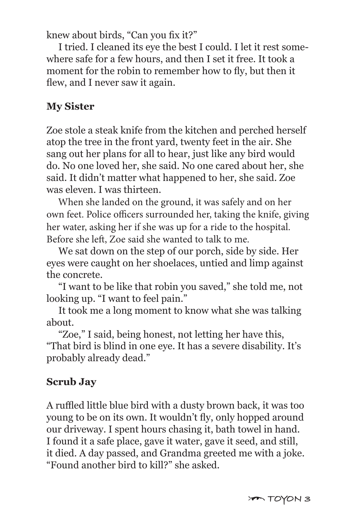knew about birds, "Can you fix it?"

 I tried. I cleaned its eye the best I could. I let it rest somewhere safe for a few hours, and then I set it free. It took a moment for the robin to remember how to fly, but then it flew, and I never saw it again.

# **My Sister**

Zoe stole a steak knife from the kitchen and perched herself atop the tree in the front yard, twenty feet in the air. She sang out her plans for all to hear, just like any bird would do. No one loved her, she said. No one cared about her, she said. It didn't matter what happened to her, she said. Zoe was eleven. I was thirteen.

When she landed on the ground, it was safely and on her own feet. Police officers surrounded her, taking the knife, giving her water, asking her if she was up for a ride to the hospital. Before she left, Zoe said she wanted to talk to me.

 We sat down on the step of our porch, side by side. Her eyes were caught on her shoelaces, untied and limp against the concrete.

 "I want to be like that robin you saved," she told me, not looking up. "I want to feel pain."

 It took me a long moment to know what she was talking about.

 "Zoe," I said, being honest, not letting her have this, "That bird is blind in one eye. It has a severe disability. It's probably already dead."

# **Scrub Jay**

A ruffled little blue bird with a dusty brown back, it was too young to be on its own. It wouldn't fly, only hopped around our driveway. I spent hours chasing it, bath towel in hand. I found it a safe place, gave it water, gave it seed, and still, it died. A day passed, and Grandma greeted me with a joke. "Found another bird to kill?" she asked.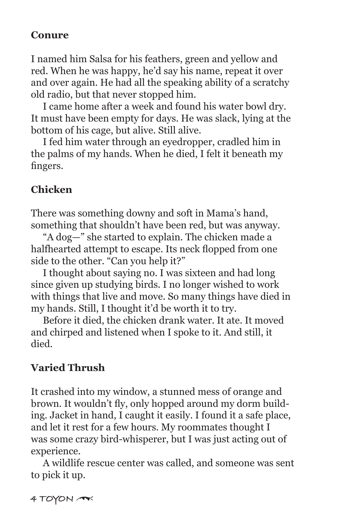#### **Conure**

I named him Salsa for his feathers, green and yellow and red. When he was happy, he'd say his name, repeat it over and over again. He had all the speaking ability of a scratchy old radio, but that never stopped him.

 I came home after a week and found his water bowl dry. It must have been empty for days. He was slack, lying at the bottom of his cage, but alive. Still alive.

 I fed him water through an eyedropper, cradled him in the palms of my hands. When he died, I felt it beneath my fingers.

# **Chicken**

There was something downy and soft in Mama's hand, something that shouldn't have been red, but was anyway.

 "A dog—" she started to explain. The chicken made a halfhearted attempt to escape. Its neck flopped from one side to the other. "Can you help it?"

 I thought about saying no. I was sixteen and had long since given up studying birds. I no longer wished to work with things that live and move. So many things have died in my hands. Still, I thought it'd be worth it to try.

 Before it died, the chicken drank water. It ate. It moved and chirped and listened when I spoke to it. And still, it died.

# **Varied Thrush**

It crashed into my window, a stunned mess of orange and brown. It wouldn't fly, only hopped around my dorm building. Jacket in hand, I caught it easily. I found it a safe place, and let it rest for a few hours. My roommates thought I was some crazy bird-whisperer, but I was just acting out of experience.

 A wildlife rescue center was called, and someone was sent to pick it up.

**4 TOYON** \